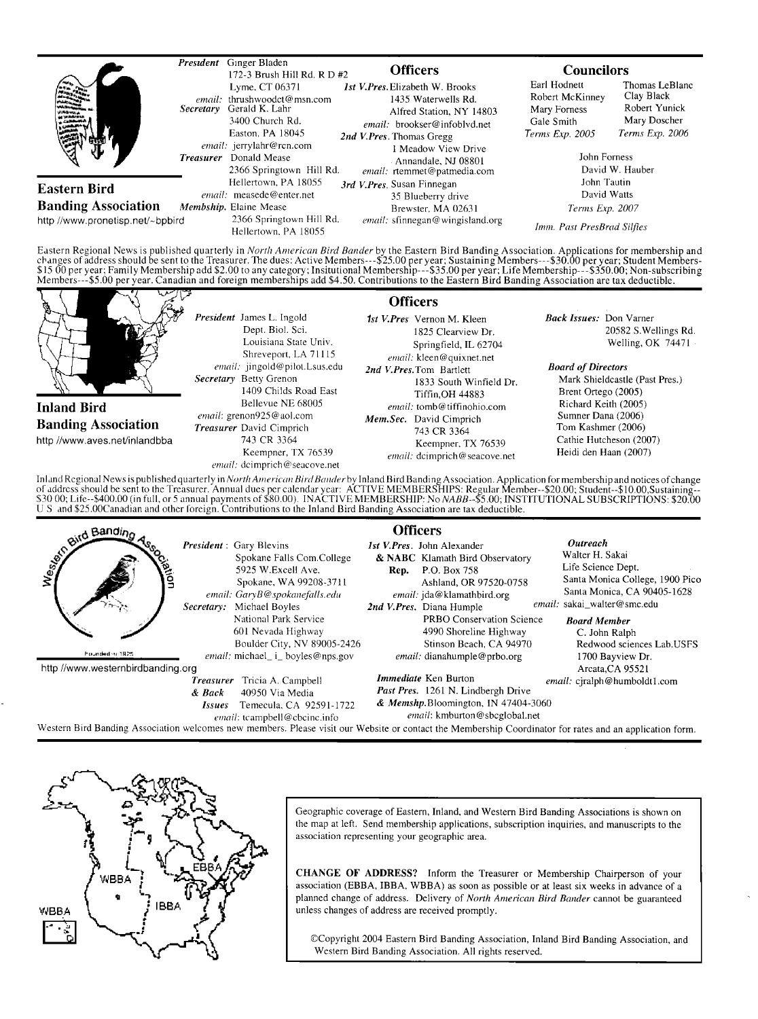|                                  | President | Ginger Bladen<br>172-3 Brush Hill Rd. R D #2                                                                                                                                                                                                                                            | <b>Officers</b>                                                                                                                                                                                                                                                                                                                                                                                                                                                                                                                                                                                                                 | <b>Councilors</b>                                                                |                                                                                  |
|----------------------------------|-----------|-----------------------------------------------------------------------------------------------------------------------------------------------------------------------------------------------------------------------------------------------------------------------------------------|---------------------------------------------------------------------------------------------------------------------------------------------------------------------------------------------------------------------------------------------------------------------------------------------------------------------------------------------------------------------------------------------------------------------------------------------------------------------------------------------------------------------------------------------------------------------------------------------------------------------------------|----------------------------------------------------------------------------------|----------------------------------------------------------------------------------|
|                                  |           | Lyme, CT 06371<br>email: thrushwoodct@msn.com<br>Secretary Gerald K. Lahr<br>3400 Church Rd.<br>Easton, PA 18045<br>email: jerrylahr@rcn.com<br><i>Treasurer</i> Donald Mease<br>2366 Springtown Hill Rd.<br>Hellertown, PA 18055<br>email: measede@enter.net<br>Membship. Elaine Mease | <b>Ist V.Pres.</b> Elizabeth W. Brooks<br>1435 Waterwells Rd.<br>Alfred Station, NY 14803<br>email: brookser@infoblvd.net<br>2nd V.Pres. Thomas Gregg<br>1 Meadow View Drive<br>Annandale, NJ 08801<br>email: rtemmet@patmedia.com<br>3rd V.Pres. Susan Finnegan<br>35 Blueberry drive<br>Brewster, MA 02631                                                                                                                                                                                                                                                                                                                    | Earl Hodnett<br>Robert McKinney<br>Mary Forness<br>Gale Smith<br>Terms Exp. 2005 | Thomas LeBlanc<br>Clay Black<br>Robert Yunick<br>Mary Doscher<br>Terms Exp. 2006 |
|                                  |           |                                                                                                                                                                                                                                                                                         |                                                                                                                                                                                                                                                                                                                                                                                                                                                                                                                                                                                                                                 | John Forness<br>David W. Hauber<br>John Tautin<br>David Watts                    |                                                                                  |
| <b>Eastern Bird</b>              |           |                                                                                                                                                                                                                                                                                         |                                                                                                                                                                                                                                                                                                                                                                                                                                                                                                                                                                                                                                 |                                                                                  |                                                                                  |
| <b>Banding Association</b>       |           |                                                                                                                                                                                                                                                                                         |                                                                                                                                                                                                                                                                                                                                                                                                                                                                                                                                                                                                                                 | Terms Exp. 2007                                                                  |                                                                                  |
| http://www.pronetisp.net/~bpbird |           | 2366 Springtown Hill Rd.<br>Hellertown, PA 18055                                                                                                                                                                                                                                        | email: sfinnegan@wingisland.org                                                                                                                                                                                                                                                                                                                                                                                                                                                                                                                                                                                                 | Imm. Past PresBrad Silfies                                                       |                                                                                  |
|                                  |           |                                                                                                                                                                                                                                                                                         | Eastern Regional News is published quarterly in North American Bird Bander by the Eastern Bird Banding Association. Applications for membership and<br>changes of address should be sent to the Treasurer. The dues: Active Members---\$25.00 per year; Sustaining Members---\$30.00 per year; Student Members-<br>\$15.00 per year; Family Membership add \$2.00 to any category; Insitutional Membership---\$35.00 per year; Life Membership---\$350.00; Non-subscribing<br>Members---\$5.00 per year. Canadian and foreign memberships add \$4.50. Contributions to the Eastern Bird Banding Association are tax deductible. |                                                                                  |                                                                                  |



inland Regional News is published quarterly in *North American Bird Bander* by Inland Bird Banding Association. Application for membership and notices of change<br>of address should be sent to the Treasurer. Annual dues per c **exampling Assume President**: Gary Blevins<br>**example:** Spokane Falls Com.College **Example 2008** & NABC Klamath Bird Observatory **Outreach** 

**•'0•' • •,• President:GaryBlevins l stV. Pres. JohnAlexander Spokane Falls Com. College & NABC Klamath Bird Observatory 5925 W.Excell Ave. Rep. P.O. Box 758**<br> **5925 W.Excell Ave. Rep. Ashland, OR 97520-0758** email: GaryB@spokanefalls.edu email: jda@klamathbird.org Santa Monica, CA 904<br>
Secretary: Michael Boyles 2nd V.Pres. Diana Humple<br>
National Park Service PRBO Conservation Science Board Member<br>
601 Nevada Highway 4990 Shore Secretary: Michael Boyles 2nd V. Pres. Diana Humple **National Park Service 601 Nevada Highway Boulder City, NV 89005-2426 •""•""\* '":• email: michael\_ i\_ boyles@nps.gov http//www.westernbirdbanding.org Treasurer Tricia A. Campbell & Back 40950 Via Media Issues Temecula. CA 92591-1722 email: tcampbell @ cbcinc.in fo Western Bird Banding Association welcomes new members. Please visit our Website or contact the Membership Coordinator for rates and an application form. Walter H. Sakai Life Science Dept.**  Ashland, OR 97520-0758 Santa Monica College, 1900 Pico<br>
email: jda@klamathbird.org Santa Monica, CA 90405-1628 Santa Monica, CA 90405-1628 *email:* **sakai\_walter@smc.edu <br>ce Board Member PRBO Conservation Science Board Member**<br>4990 Shoreline Highway **C. John Ralph** 4990 Shoreline Highway<br>Stinson Beach, CA 94970 Redwood sciences Lab. USFS email: dianahumple@prbo.org 1700 Bayview Dr. **Arcata,CA 95521 Immediate** Ken Burton **email:** cjralph@humboldt1.com **Past Pres. 1261 N. Lindbergh Drive & Memshp. Bloomington, IN 47404-3060 emaih kmburton @ sbcglobal.net** 



**Geographic coverage of Eastern, Inland, and Western Bird Banding Associations is shown on the map at left. Send membership applications, subscription inquiries, and manuscripts to the association representing your geographic area.** 

CHANGE OF ADDRESS? Inform the Treasurer or Membership Chairperson of your **association (EBBA, IBBA, WBBA) as soon as possible or at least six weeks in advance of a planned change of address. Delivery of North American Bird Bander cannot be guaranteed unless changes of address are received promptly.** 

**¸Copyright 2004 Eastern Bird Banding Association, Inland Bird Banding Association, and Western Bird Banding Association. All rights reserved.**